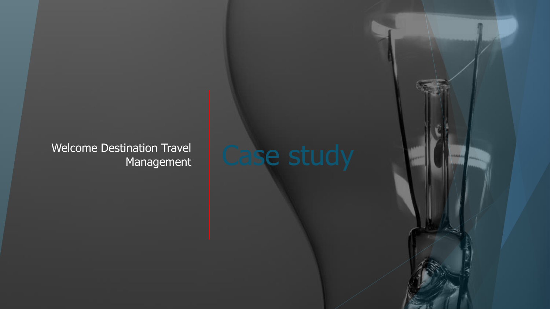Welcome Destination Travel<br>Management | Case study Management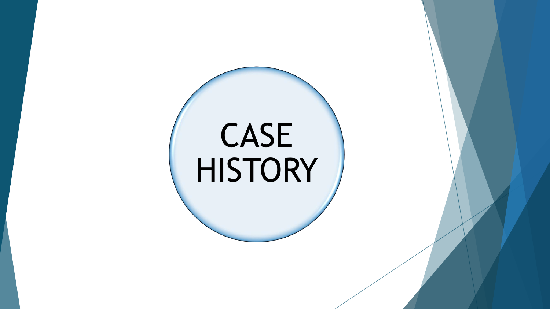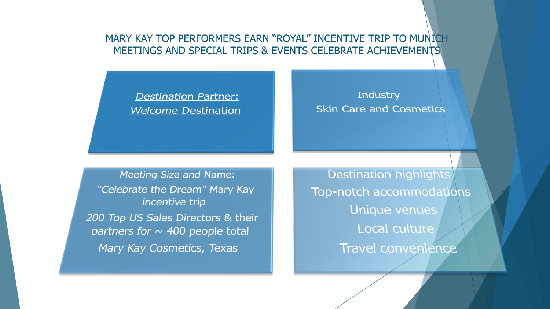# MARY KAY TOP PERFORMERS EARN "ROYAL" INCENTIVE TRIP TO MUNICH MEETINGS AND SPECIAL TRIPS & EVENTS CELEBRATE ACHIEVEMENTS

# **Destination Partner: Welcome Destination**

### **Industry Skin Care and Cosmetics**

**Meeting Size and Name:** "Celebrate the Dream" Mary Kay incentive trip 200 Top US Sales Directors & their partners for  $\sim$  400 people total Mary Kay Cosmetics, Texas

**Destination highlights** Top-notch accommodations **Unique venues** Local culture Travel convenience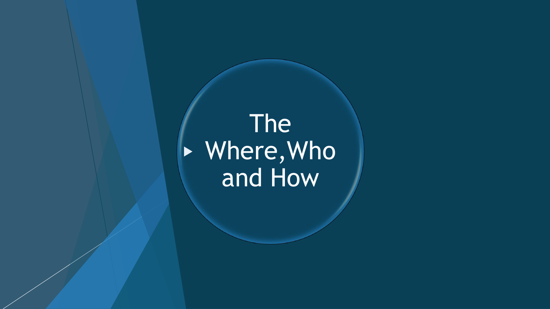The Where,Who and How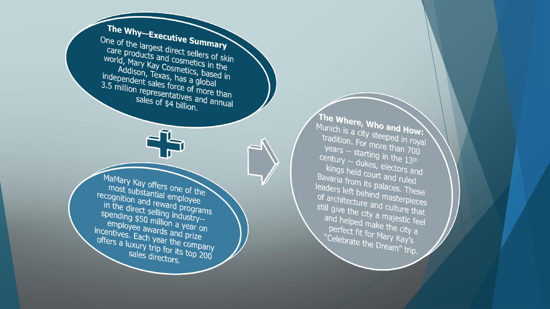The Why–Executive Summary One of the largest direct sellers of skin care products and cosmetics in the world, Mary Kay Cosmetics, based in Addison, Texas, has a global independent sales force of more than 3.5 million representatives and annual sales of \$4 billion. MaMary Kay offers one of the most substantial employee recognition and reward programs in the direct selling industry-spending \$50 million a year on employee awards and prize incentives. Each year the company offers a luxury trip for its top 200 sales directors.

The Where, Who and How: Munich is a city steeped in royal tradition. For more than 700 years -- starting in the 13th century -- dukes, electors and kings held court and ruled Bavaria from its palaces. These leaders left behind masterpieces of architecture and culture that still give the city a majestic feel and helped make the city a perfect fit for Mary Kay's "Celebrate the Dream" trip.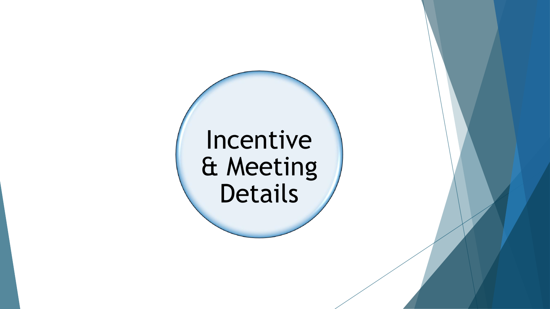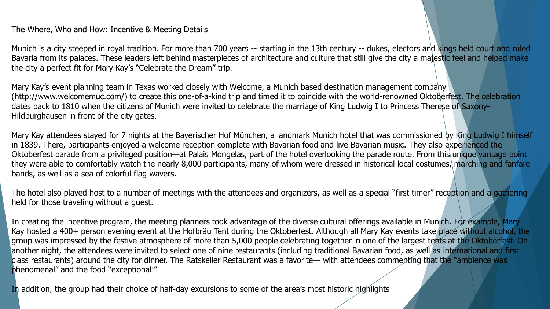The Where, Who and How: Incentive & Meeting Details

Munich is a city steeped in royal tradition. For more than 700 years -- starting in the 13th century -- dukes, electors and kings held court and ruled Bavaria from its palaces. These leaders left behind masterpieces of architecture and culture that still give the city a majestic feel and helped make the city a perfect fit for Mary Kay's "Celebrate the Dream" trip.

Mary Kay's event planning team in Texas worked closely with Welcome, a Munich based destination management company (http://www.welcomemuc.com/) to create this one-of-a-kind trip and timed it to coincide with the world-renowned Oktoberfest. The celebration dates back to 1810 when the citizens of Munich were invited to celebrate the marriage of King Ludwig I to Princess Therese of Saxony-Hildburghausen in front of the city gates.

Mary Kay attendees stayed for 7 nights at the Bayerischer Hof München, a landmark Munich hotel that was commissioned by King Ludwig I himself in 1839. There, participants enjoyed a welcome reception complete with Bavarian food and live Bavarian music. They also experienced the Oktoberfest parade from a privileged position—at Palais Mongelas, part of the hotel overlooking the parade route. From this unique vantage point they were able to comfortably watch the nearly 8,000 participants, many of whom were dressed in historical local costumes, marching and fanfare bands, as well as a sea of colorful flag wavers.

The hotel also played host to a number of meetings with the attendees and organizers, as well as a special "first timer" reception and a gathering held for those traveling without a guest.

In creating the incentive program, the meeting planners took advantage of the diverse cultural offerings available in Munich. For example, Mary Kay hosted a 400+ person evening event at the Hofbräu Tent during the Oktoberfest. Although all Mary Kay events take place without alcohol, the group was impressed by the festive atmosphere of more than 5,000 people celebrating together in one of the largest tents at the Oktoberfest. On another night, the attendees were invited to select one of nine restaurants (including traditional Bavarian food, as well as international and first class restaurants) around the city for dinner. The Ratskeller Restaurant was a favorite— with attendees commenting that the "ambience was phenomenal" and the food "exceptional!"

In addition, the group had their choice of half-day excursions to some of the area's most historic highlights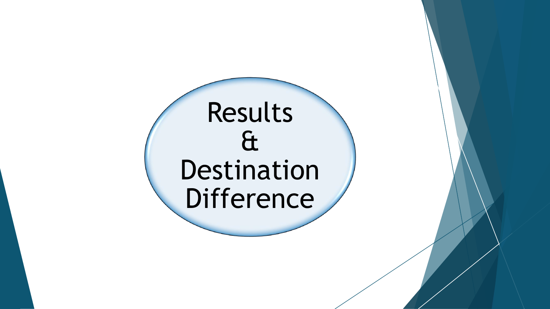# Results & Destination Difference